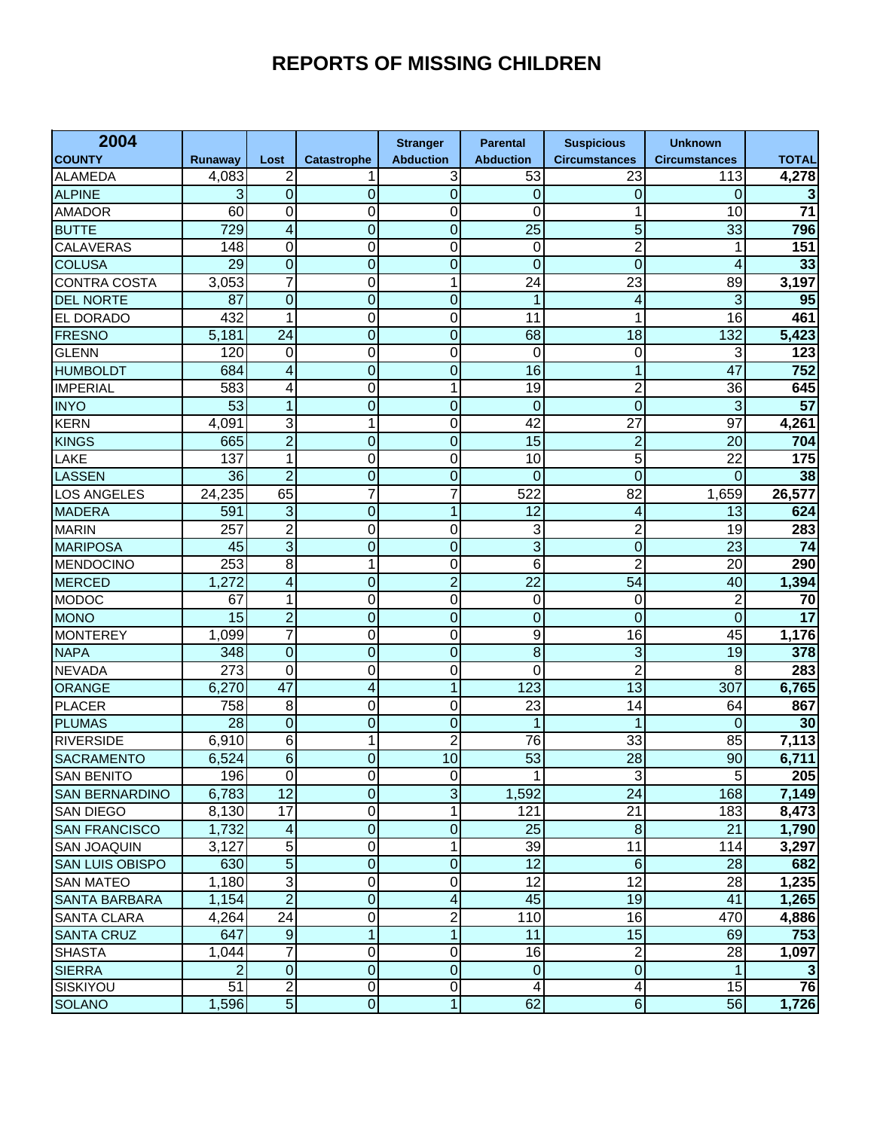## **REPORTS OF MISSING CHILDREN**

| 2004                   |                |                         |                    | <b>Stranger</b>         | <b>Parental</b>  | <b>Suspicious</b>    | <b>Unknown</b>       |                 |
|------------------------|----------------|-------------------------|--------------------|-------------------------|------------------|----------------------|----------------------|-----------------|
| <b>COUNTY</b>          | <b>Runaway</b> | Lost                    | <b>Catastrophe</b> | <b>Abduction</b>        | <b>Abduction</b> | <b>Circumstances</b> | <b>Circumstances</b> | <b>TOTAL</b>    |
| <b>ALAMEDA</b>         | 4,083          | 2                       | 1                  | 3                       | 53               | 23                   | 113                  | 4,278           |
| <b>ALPINE</b>          | 3              | 0                       | 0                  | $\overline{0}$          | 0                | 0                    | 0                    | 3               |
| <b>AMADOR</b>          | 60             | 0                       | 0                  | 0                       | 0                | 1                    | 10                   | $\overline{71}$ |
| <b>BUTTE</b>           | 729            | 4                       | $\overline{0}$     | $\overline{0}$          | 25               | 5                    | 33                   | 796             |
| CALAVERAS              | 148            | 0                       | 0                  | 0                       | 0                | $\overline{2}$       | 1                    | 151             |
| <b>COLUSA</b>          | 29             | $\overline{0}$          | $\overline{0}$     | $\overline{0}$          | 0                | $\mathbf 0$          | 4                    | 33              |
| <b>CONTRA COSTA</b>    | 3,053          | $\overline{7}$          | 0                  | 1                       | 24               | 23                   | 89                   | 3,197           |
| <b>DEL NORTE</b>       | 87             | 0                       | 0                  | $\overline{0}$          | 1                | 4                    | 3                    | 95              |
| EL DORADO              | 432            | 1                       | 0                  | 0                       | 11               | 1                    | 16                   | 461             |
| <b>FRESNO</b>          | 5,181          | 24                      | 0                  | $\overline{0}$          | 68               | 18                   | 132                  | 5,423           |
| <b>GLENN</b>           | 120            | 0                       | 0                  | 0                       | 0                | $\mathbf 0$          | 3                    | 123             |
| <b>HUMBOLDT</b>        | 684            | 4                       | $\overline{0}$     | $\overline{0}$          | 16               | 1                    | 47                   | 752             |
| <b>IMPERIAL</b>        | 583            | 4                       | 0                  | 1                       | 19               | $\overline{2}$       | 36                   | 645             |
| <b>INYO</b>            | 53             | $\mathbf{1}$            | $\overline{0}$     | $\overline{0}$          | 0                | $\mathbf 0$          | 3                    | $\overline{57}$ |
| <b>KERN</b>            | 4,091          | 3                       | 1                  | 0                       | 42               | 27                   | 97                   | 4,261           |
| <b>KINGS</b>           | 665            | $\overline{2}$          | 0                  | $\overline{0}$          | 15               | $\overline{c}$       | 20                   | 704             |
| LAKE                   | 137            | 1                       | 0                  | 0                       | 10               | 5                    | 22                   | 175             |
| <b>LASSEN</b>          | 36             | $\overline{2}$          | 0                  | $\overline{0}$          | 0                | $\overline{0}$       | 0                    | 38              |
| <b>LOS ANGELES</b>     | 24,235         | 65                      | 7                  | 7                       | 522              | $\overline{82}$      | 1,659                | 26,577          |
| <b>MADERA</b>          | 591            | $\overline{3}$          | $\overline{0}$     | 1                       | $\overline{12}$  | 4                    | 13                   | 624             |
| <b>MARIN</b>           | 257            | $\overline{2}$          | 0                  | 0                       | 3                | $\overline{2}$       | 19                   | 283             |
| <b>MARIPOSA</b>        | 45             | $\overline{3}$          | 0                  | $\overline{0}$          | 3                | $\mathbf 0$          | 23                   | $\overline{74}$ |
| <b>MENDOCINO</b>       | 253            | $\overline{8}$          | 1                  | 0                       | 6                | $\overline{2}$       | $\overline{20}$      | 290             |
| <b>MERCED</b>          | 1,272          | 4                       | $\overline{0}$     | $\overline{2}$          | $\overline{22}$  | 54                   | 40                   | 1,394           |
| <b>MODOC</b>           | 67             | 1                       | 0                  | 0                       | 0                | 0                    | $\overline{c}$       | 70              |
| <b>MONO</b>            | 15             | $\overline{2}$          | $\overline{0}$     | $\overline{0}$          | $\overline{0}$   | $\overline{0}$       | $\overline{0}$       | $\overline{17}$ |
| <b>MONTEREY</b>        | 1,099          | 7                       | 0                  | 0                       | 9                | 16                   | 45                   | 1,176           |
| <b>NAPA</b>            | 348            | $\overline{0}$          | $\overline{0}$     | $\overline{0}$          | $\overline{8}$   | $\mathbf{3}$         | 19                   | 378             |
| <b>NEVADA</b>          | 273            | 0                       | 0                  | 0                       | 0                | $\overline{c}$       | 8                    | 283             |
| <b>ORANGE</b>          | 6,270          | $\overline{47}$         | 4                  | 1                       | 123              | 13                   | 307                  | 6,765           |
| <b>PLACER</b>          | 758            | 8                       | 0                  | 0                       | 23               | 14                   | 64                   | 867             |
| <b>PLUMAS</b>          | 28             | $\overline{0}$          | $\overline{0}$     | $\overline{0}$          | 1                | 1                    | $\mathbf 0$          | 30              |
| <b>RIVERSIDE</b>       | 6,910          | 6                       | 1                  | $\overline{c}$          | 76               | 33                   | 85                   | 7,113           |
| <b>SACRAMENTO</b>      | 6,524          | 6                       | $\overline{0}$     | 10                      | 53               | 28                   | 90                   | 6,711           |
| <b>SAN BENITO</b>      | 196            | $\overline{0}$          | $\overline{0}$     | $\overline{0}$          | $\mathbf{1}$     | $\overline{3}$       | 5 <sup>1</sup>       | 205             |
| <b>SAN BERNARDINO</b>  | 6,783          | $\overline{12}$         | 0                  | $\overline{3}$          | 1,592            | 24                   | 168                  | 7,149           |
| <b>SAN DIEGO</b>       | 8,130          | $\overline{17}$         | 0                  | 1                       | 121              | 21                   | 183                  | 8,473           |
| <b>SAN FRANCISCO</b>   | 1,732          | $\overline{\mathbf{4}}$ | 0                  | $\overline{0}$          | 25               | $\bf 8$              | 21                   | 1,790           |
| <b>SAN JOAQUIN</b>     | 3,127          | 5                       | 0                  | 1                       | $\overline{39}$  | 11                   | 114                  | 3,297           |
| <b>SAN LUIS OBISPO</b> | 630            | $\overline{5}$          | 0                  | $\overline{0}$          | $\overline{12}$  | $\,6\,$              | 28                   | 682             |
| <b>SAN MATEO</b>       | 1,180          | دن                      | 0                  | 0                       | 12               | 12                   | 28                   | 1,235           |
| <b>SANTA BARBARA</b>   | 1,154          | $\overline{2}$          | 0                  | 4                       | 45               | 19                   | 41                   | 1,265           |
| <b>SANTA CLARA</b>     | 4,264          | 24                      | 0                  | $\overline{\mathbf{c}}$ | 110              | 16                   | 470                  | 4,886           |
| <b>SANTA CRUZ</b>      | 647            | $\overline{9}$          | $\mathbf{1}$       | $\mathbf{1}$            | 11               | 15                   | 69                   | 753             |
| <b>SHASTA</b>          | 1,044          | 7                       | 0                  | 0                       | $\overline{16}$  | $\overline{2}$       | 28                   | 1,097           |
| <b>SIERRA</b>          | $\overline{2}$ | $\overline{0}$          | 0                  | $\overline{0}$          | $\mathbf 0$      | $\boldsymbol{0}$     |                      |                 |
| SISKIYOU               | 51             | $\overline{2}$          | 0                  | $\overline{0}$          | 4                | $\overline{4}$       | 15                   | 76              |
| <b>SOLANO</b>          | 1,596          | $\overline{5}$          | $\overline{0}$     | $\mathbf{1}$            | 62               | $6 \overline{6}$     | 56                   | 1,726           |